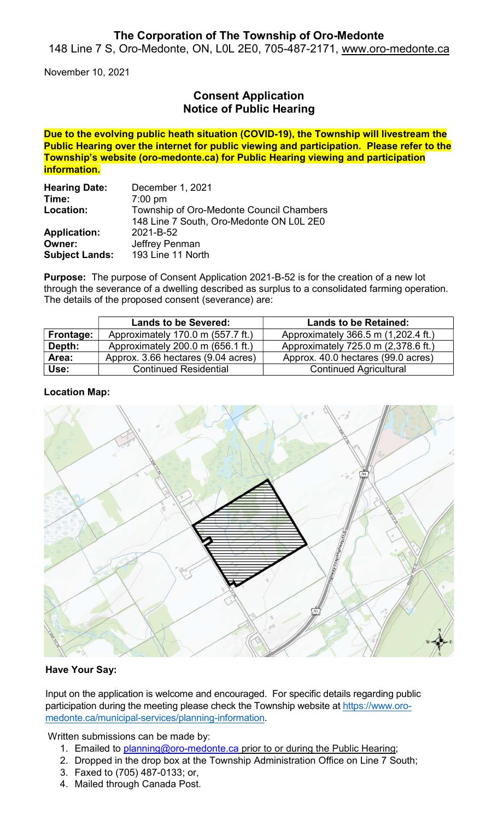## The Corporation of The Township of Oro-Medonte

148 Line 7 S, Oro-Medonte, ON, L0L 2E0, 705-487-2171, www.oro-medonte.ca

November 10, 2021

# Consent Application Notice of Public Hearing

Due to the evolving public heath situation (COVID-19), the Township will livestream the Public Hearing over the internet for public viewing and participation. Please refer to the Township's website (oro-medonte.ca) for Public Hearing viewing and participation information.

| <b>Hearing Date:</b>  | December 1, 2021                         |  |
|-----------------------|------------------------------------------|--|
| Time:                 | $7:00 \text{ pm}$                        |  |
| Location:             | Township of Oro-Medonte Council Chambers |  |
|                       | 148 Line 7 South, Oro-Medonte ON L0L 2E0 |  |
| <b>Application:</b>   | 2021-B-52                                |  |
| Owner:                | Jeffrey Penman                           |  |
| <b>Subject Lands:</b> | 193 Line 11 North                        |  |

Purpose: The purpose of Consent Application 2021-B-52 is for the creation of a new lot through the severance of a dwelling described as surplus to a consolidated farming operation. The details of the proposed consent (severance) are:

|           | <b>Lands to be Severed:</b>        | <b>Lands to be Retained:</b>        |
|-----------|------------------------------------|-------------------------------------|
| Frontage: | Approximately 170.0 m (557.7 ft.)  | Approximately 366.5 m (1,202.4 ft.) |
| Depth:    | Approximately 200.0 m (656.1 ft.)  | Approximately 725.0 m (2,378.6 ft.) |
| Area:     | Approx. 3.66 hectares (9.04 acres) | Approx. 40.0 hectares (99.0 acres)  |
| Use:      | <b>Continued Residential</b>       | <b>Continued Agricultural</b>       |

### Location Map:



### Have Your Say:

Input on the application is welcome and encouraged. For specific details regarding public participation during the meeting please check the Township website at https://www.oromedonte.ca/municipal-services/planning-information.

Written submissions can be made by:

- 1. Emailed to planning@oro-medonte.ca prior to or during the Public Hearing;
- 2. Dropped in the drop box at the Township Administration Office on Line 7 South;
- 3. Faxed to (705) 487-0133; or,
- 4. Mailed through Canada Post.